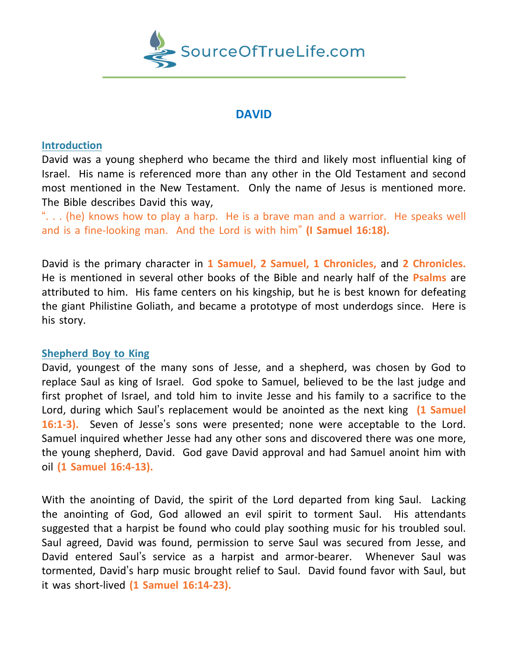

# **DAVID**

### **Introduction**

David was a young shepherd who became the third and likely most influential king of Israel. His name is referenced more than any other in the Old Testament and second most mentioned in the New Testament. Only the name of Jesus is mentioned more. The Bible describes David this way,

". . . (he) knows how to play a harp. He is a brave man and a warrior. He speaks well and is a fine-looking man. And the Lord is with him" **(I Samuel 16:18).**

David is the primary character in **1 Samuel, 2 Samuel, 1 Chronicles,** and **2 Chronicles.** He is mentioned in several other books of the Bible and nearly half of the **Psalms** are attributed to him. His fame centers on his kingship, but he is best known for defeating the giant Philistine Goliath, and became a prototype of most underdogs since. Here is his story.

## **Shepherd Boy to King**

David, youngest of the many sons of Jesse, and a shepherd, was chosen by God to replace Saul as king of Israel. God spoke to Samuel, believed to be the last judge and first prophet of Israel, and told him to invite Jesse and his family to a sacrifice to the Lord, during which Saul's replacement would be anointed as the next king **(1 Samuel 16:1-3).** Seven of Jesse's sons were presented; none were acceptable to the Lord. Samuel inquired whether Jesse had any other sons and discovered there was one more, the young shepherd, David. God gave David approval and had Samuel anoint him with oil **(1 Samuel 16:4-13).**

With the anointing of David, the spirit of the Lord departed from king Saul. Lacking the anointing of God, God allowed an evil spirit to torment Saul. His attendants suggested that a harpist be found who could play soothing music for his troubled soul. Saul agreed, David was found, permission to serve Saul was secured from Jesse, and David entered Saul's service as a harpist and armor-bearer. Whenever Saul was tormented, David's harp music brought relief to Saul. David found favor with Saul, but it was short-lived **(1 Samuel 16:14-23).**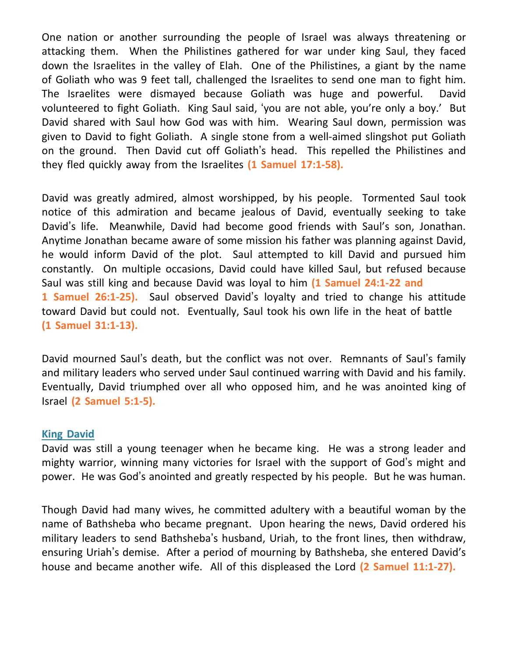One nation or another surrounding the people of Israel was always threatening or attacking them. When the Philistines gathered for war under king Saul, they faced down the Israelites in the valley of Elah. One of the Philistines, a giant by the name of Goliath who was 9 feet tall, challenged the Israelites to send one man to fight him. The Israelites were dismayed because Goliath was huge and powerful. David volunteered to fight Goliath. King Saul said, 'you are not able, you're only a boy.' But David shared with Saul how God was with him. Wearing Saul down, permission was given to David to fight Goliath. A single stone from a well-aimed slingshot put Goliath on the ground. Then David cut off Goliath's head. This repelled the Philistines and they fled quickly away from the Israelites **(1 Samuel 17:1-58).**

David was greatly admired, almost worshipped, by his people. Tormented Saul took notice of this admiration and became jealous of David, eventually seeking to take David's life. Meanwhile, David had become good friends with Saul's son, Jonathan. Anytime Jonathan became aware of some mission his father was planning against David, he would inform David of the plot. Saul attempted to kill David and pursued him constantly. On multiple occasions, David could have killed Saul, but refused because Saul was still king and because David was loyal to him **(1 Samuel 24:1-22 and 1 Samuel 26:1-25).** Saul observed David's loyalty and tried to change his attitude toward David but could not. Eventually, Saul took his own life in the heat of battle **(1 Samuel 31:1-13).**

David mourned Saul's death, but the conflict was not over. Remnants of Saul's family and military leaders who served under Saul continued warring with David and his family. Eventually, David triumphed over all who opposed him, and he was anointed king of Israel **(2 Samuel 5:1-5).**

## **King David**

David was still a young teenager when he became king. He was a strong leader and mighty warrior, winning many victories for Israel with the support of God's might and power. He was God's anointed and greatly respected by his people. But he was human.

Though David had many wives, he committed adultery with a beautiful woman by the name of Bathsheba who became pregnant. Upon hearing the news, David ordered his military leaders to send Bathsheba's husband, Uriah, to the front lines, then withdraw, ensuring Uriah's demise. After a period of mourning by Bathsheba, she entered David's house and became another wife. All of this displeased the Lord **(2 Samuel 11:1-27).**